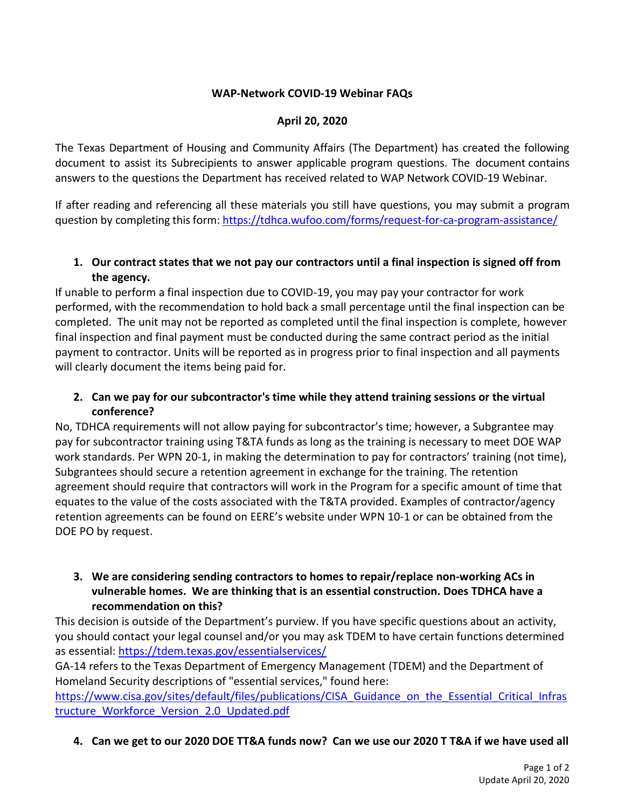## **WAP-Network COVID-19 Webinar FAQs**

#### **April 20, 2020**

The Texas Department of Housing and Community Affairs (The Department) has created the following document to assist its Subrecipients to answer applicable program questions. The document contains answers to the questions the Department has received related to WAP Network COVID-19 Webinar.

If after reading and referencing all these materials you still have questions, you may submit a program question by completing this form: <https://tdhca.wufoo.com/forms/request-for-ca-program-assistance/>

## **1. Our contract states that we not pay our contractors until a final inspection is signed off from the agency.**

If unable to perform a final inspection due to COVID-19, you may pay your contractor for work performed, with the recommendation to hold back a small percentage until the final inspection can be completed. The unit may not be reported as completed until the final inspection is complete, however final inspection and final payment must be conducted during the same contract period as the initial payment to contractor. Units will be reported as in progress prior to final inspection and all payments will clearly document the items being paid for.

# **2. Can we pay for our subcontractor's time while they attend training sessions or the virtual conference?**

No, TDHCA requirements will not allow paying for subcontractor's time; however, a Subgrantee may pay for subcontractor training using T&TA funds as long as the training is necessary to meet DOE WAP work standards. Per WPN 20-1, in making the determination to pay for contractors' training (not time), Subgrantees should secure a retention agreement in exchange for the training. The retention agreement should require that contractors will work in the Program for a specific amount of time that equates to the value of the costs associated with the T&TA provided. Examples of contractor/agency retention agreements can be found on EERE's website under WPN 10-1 or can be obtained from the DOE PO by request.

#### **3. We are considering sending contractors to homes to repair/replace non-working ACs in vulnerable homes. We are thinking that is an essential construction. Does TDHCA have a recommendation on this?**

This decision is outside of the Department's purview. If you have specific questions about an activity, you should contact your legal counsel and/or you may ask TDEM to have certain functions determined as essential:<https://tdem.texas.gov/essentialservices/>

GA-14 refers to the Texas Department of Emergency Management (TDEM) and the Department of Homeland Security descriptions of "essential services," found here:

https://www.cisa.gov/sites/default/files/publications/CISA Guidance on the Essential Critical Infras [tructure\\_Workforce\\_Version\\_2.0\\_Updated.pdf](https://www.cisa.gov/sites/default/files/publications/CISA_Guidance_on_the_Essential_Critical_Infrastructure_Workforce_Version_2.0_Updated.pdf)

**4. Can we get to our 2020 DOE TT&A funds now? Can we use our 2020 T T&A if we have used all**